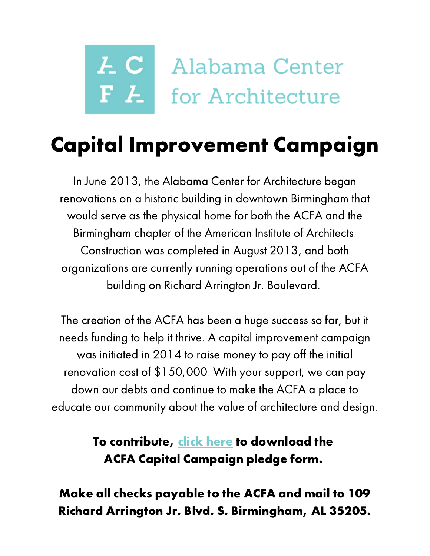# *LC* Alabama Center F <sup>Z</sup> for Architecture

# Capital Improvement Campaign

In June 2013, the Alabama Center for Architecture began renovations on a historic building in downtown Birmingham that would serve as the physical home for both the ACFA and the Birmingham chapter of the American Institute of Architects. Construction was completed in August 2013, and both organizations are currently running operations out of the ACFA building on Richard Arrington Jr. Boulevard.

The creation of the ACFA has been a huge success so far, but it needs funding to help it thrive. A capital improvement campaign was initiated in 2014 to raise money to pay off the initial renovation cost of \$150,000. With your support, we can pay down our debts and continue to make the ACFA a place to educate our community about the value of architecture and design.

> To contribute, click [here](http://www.alcfa.org/wp-content/uploads/2014/09/Alabama-Center-for-Architecture-Pledge-form.pdf) to download the ACFA Capital Campaign pledge form.

Make all checks payable to the ACFA and mail to 109 Richard Arrington Jr. Blvd. S. Birmingham, AL 35205.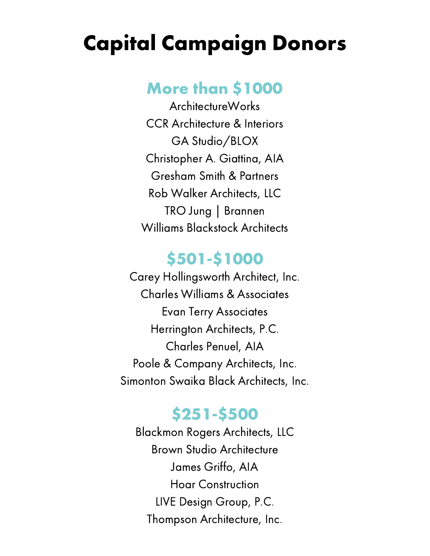## Capital Campaign Donors

#### More than \$1000

ArchitectureWorks CCR Architecture & Interiors GA Studio/BLOX Christopher A. Giattina, AIA Gresham Smith & Partners Rob Walker Architects, LLC TRO Jung | Brannen Williams Blackstock Architects

#### \$501-\$1000

Carey Hollingsworth Architect, Inc. Charles Williams & Associates Evan Terry Associates Herrington Architects, P.C. Charles Penuel, AIA Poole & Company Architects, Inc. Simonton Swaika Black Architects, Inc.

#### \$251-\$500

Blackmon Rogers Architects, LLC Brown Studio Architecture James Griffo, AIA Hoar Construction LIVE Design Group, P.C. Thompson Architecture, Inc.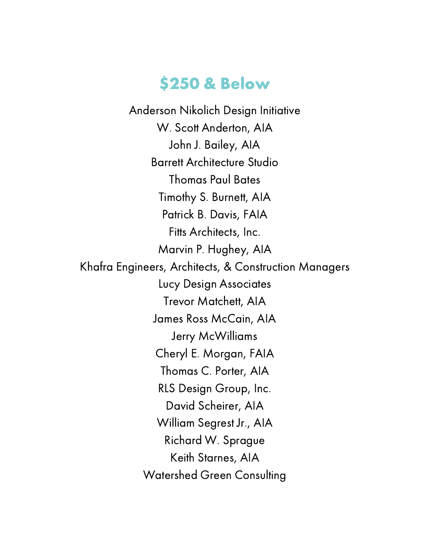#### \$250 & Below

Anderson Nikolich Design Initiative W. Scott Anderton, AIA John J. Bailey, AIA Barrett Architecture Studio Thomas Paul Bates Timothy S. Burnett, AIA Patrick B. Davis, FAIA Fitts Architects, Inc. Marvin P. Hughey, AIA Khafra Engineers, Architects, & Construction Managers Lucy Design Associates Trevor Matchett, AIA James Ross McCain, AIA Jerry McWilliams Cheryl E. Morgan, FAIA Thomas C. Porter, AIA RLS Design Group, Inc. David Scheirer, AIA William Segrest Jr., AIA Richard W. Sprague Keith Starnes, AIA Watershed Green Consulting